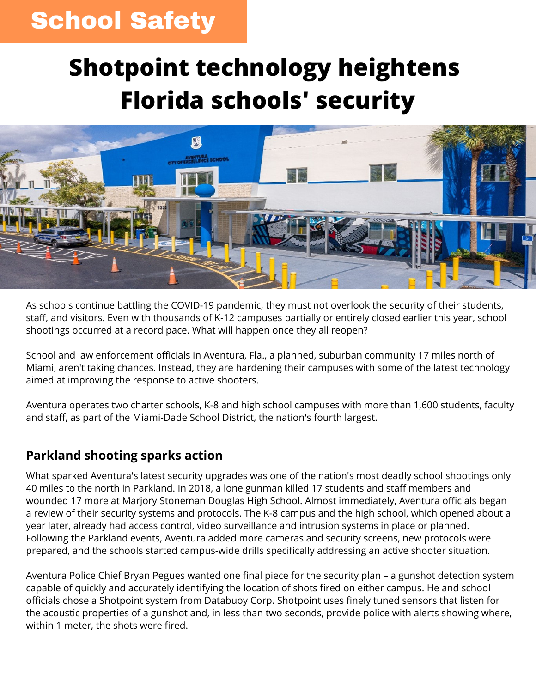## **School Safety**

# **Shotpoint technology heightens Florida schools' security**



As schools continue battling the COVID-19 pandemic, they must not overlook the security of their students, staff, and visitors. Even with thousands of K-12 campuses partially or entirely closed earlier this year, school shootings occurred at a record pace. What will happen once they all reopen?

School and law enforcement officials in Aventura, Fla., a planned, suburban community 17 miles north of Miami, aren't taking chances. Instead, they are hardening their campuses with some of the latest technology aimed at improving the response to active shooters.

Aventura operates two charter schools, K-8 and high school campuses with more than 1,600 students, faculty and staff, as part of the Miami-Dade School District, the nation's fourth largest.

#### **Parkland shooting sparks action**

What sparked Aventura's latest security upgrades was one of the nation's most deadly school shootings only 40 miles to the north in Parkland. In 2018, a lone gunman killed 17 students and staff members and wounded 17 more at Marjory Stoneman Douglas High School. Almost immediately, Aventura officials began a review of their security systems and protocols. The K-8 campus and the high school, which opened about a year later, already had access control, video surveillance and intrusion systems in place or planned. Following the Parkland events, Aventura added more cameras and security screens, new protocols were prepared, and the schools started campus-wide drills specifically addressing an active shooter situation.

Aventura Police Chief Bryan Pegues wanted one final piece for the security plan – a gunshot detection system capable of quickly and accurately identifying the location of shots fired on either campus. He and school officials chose a Shotpoint system from Databuoy Corp. Shotpoint uses finely tuned sensors that listen for the acoustic properties of a gunshot and, in less than two seconds, provide police with alerts showing where, within 1 meter, the shots were fired.